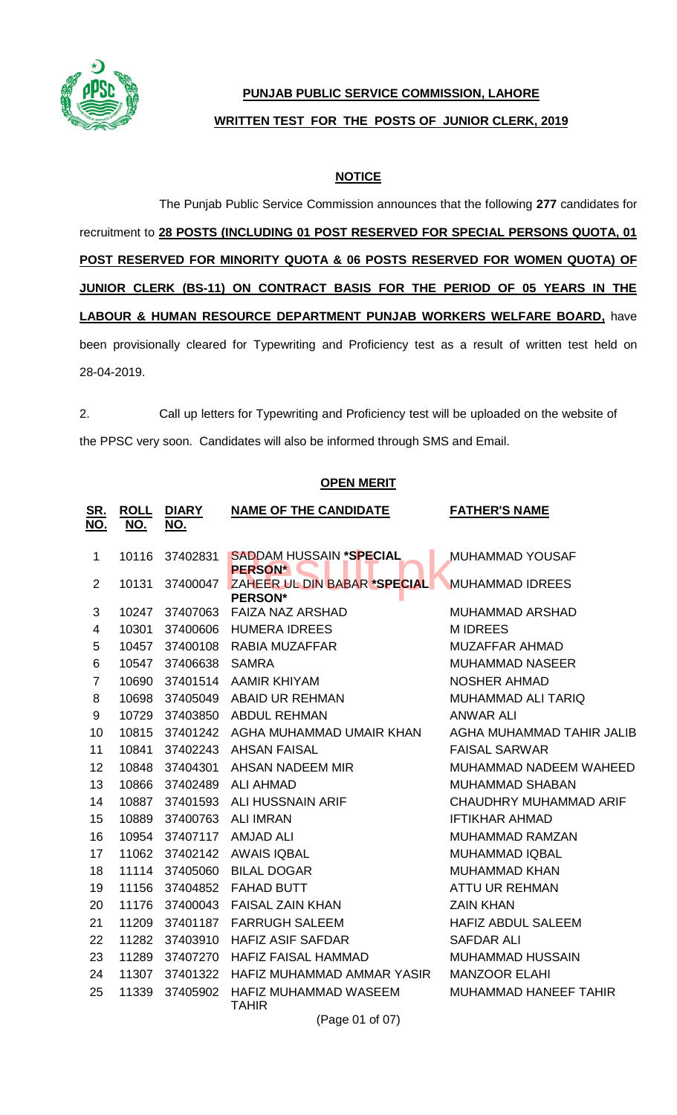

## **PUNJAB PUBLIC SERVICE COMMISSION, LAHORE WRITTEN TEST FOR THE POSTS OF JUNIOR CLERK, 2019**

## **NOTICE**

The Punjab Public Service Commission announces that the following **277** candidates for recruitment to **28 POSTS (INCLUDING 01 POST RESERVED FOR SPECIAL PERSONS QUOTA, 01 POST RESERVED FOR MINORITY QUOTA & 06 POSTS RESERVED FOR WOMEN QUOTA) OF JUNIOR CLERK (BS-11) ON CONTRACT BASIS FOR THE PERIOD OF 05 YEARS IN THE LABOUR & HUMAN RESOURCE DEPARTMENT PUNJAB WORKERS WELFARE BOARD,** have been provisionally cleared for Typewriting and Proficiency test as a result of written test held on 28-04-2019.

2. Call up letters for Typewriting and Proficiency test will be uploaded on the website of the PPSC very soon. Candidates will also be informed through SMS and Email.

## **OPEN MERIT**

| <u>SR.</u><br><u>NO.</u> | <b>ROLL</b><br><u>NO.</u> | <b>DIARY</b><br><u>NO.</u> | <b>NAME OF THE CANDIDATE</b>                     | <b>FATHER'S NAME</b>      |  |
|--------------------------|---------------------------|----------------------------|--------------------------------------------------|---------------------------|--|
| $\mathbf 1$              | 10116                     | 37402831                   | <b>SADDAM HUSSAIN *SPECIAL</b><br><b>PERSON*</b> | <b>MUHAMMAD YOUSAF</b>    |  |
| $\overline{2}$           | 10131                     | 37400047                   | ZAHEER UL DIN BABAR *SPECIAL<br><b>PERSON*</b>   | <b>MUHAMMAD IDREES</b>    |  |
| 3                        | 10247                     | 37407063                   | <b>FAIZA NAZ ARSHAD</b>                          | <b>MUHAMMAD ARSHAD</b>    |  |
| $\overline{4}$           | 10301                     | 37400606                   | <b>HUMERA IDREES</b>                             | <b>MIDREES</b>            |  |
| 5                        | 10457                     | 37400108                   | RABIA MUZAFFAR                                   | <b>MUZAFFAR AHMAD</b>     |  |
| 6                        | 10547                     | 37406638                   | <b>SAMRA</b>                                     | <b>MUHAMMAD NASEER</b>    |  |
| $\overline{7}$           | 10690                     |                            | 37401514 AAMIR KHIYAM                            | <b>NOSHER AHMAD</b>       |  |
| 8                        | 10698                     |                            | 37405049 ABAID UR REHMAN                         | <b>MUHAMMAD ALI TARIQ</b> |  |
| 9                        | 10729                     | 37403850                   | <b>ABDUL REHMAN</b>                              | <b>ANWAR ALI</b>          |  |
| 10                       | 10815                     |                            | 37401242 AGHA MUHAMMAD UMAIR KHAN                | AGHA MUHAMMAD TAHIR JALIB |  |
| 11                       | 10841                     | 37402243                   | <b>AHSAN FAISAL</b>                              | <b>FAISAL SARWAR</b>      |  |
| 12                       | 10848                     |                            | 37404301 AHSAN NADEEM MIR                        | MUHAMMAD NADEEM WAHEED    |  |
| 13                       | 10866                     | 37402489                   | <b>ALI AHMAD</b>                                 | <b>MUHAMMAD SHABAN</b>    |  |
| 14                       | 10887                     |                            | 37401593 ALI HUSSNAIN ARIF                       | CHAUDHRY MUHAMMAD ARIF    |  |
| 15                       | 10889                     | 37400763                   | <b>ALI IMRAN</b>                                 | <b>IFTIKHAR AHMAD</b>     |  |
| 16                       | 10954                     |                            | 37407117 AMJAD ALI                               | <b>MUHAMMAD RAMZAN</b>    |  |
| 17                       | 11062                     | 37402142                   | <b>AWAIS IQBAL</b>                               | <b>MUHAMMAD IQBAL</b>     |  |
| 18                       | 11114                     | 37405060                   | <b>BILAL DOGAR</b>                               | <b>MUHAMMAD KHAN</b>      |  |
| 19                       | 11156                     | 37404852                   | <b>FAHAD BUTT</b>                                | <b>ATTU UR REHMAN</b>     |  |
| 20                       | 11176                     | 37400043                   | <b>FAISAL ZAIN KHAN</b>                          | <b>ZAIN KHAN</b>          |  |
| 21                       | 11209                     | 37401187                   | <b>FARRUGH SALEEM</b>                            | <b>HAFIZ ABDUL SALEEM</b> |  |
| 22                       | 11282                     | 37403910                   | <b>HAFIZ ASIF SAFDAR</b>                         | <b>SAFDAR ALI</b>         |  |
| 23                       | 11289                     | 37407270                   | <b>HAFIZ FAISAL HAMMAD</b>                       | <b>MUHAMMAD HUSSAIN</b>   |  |
| 24                       | 11307                     | 37401322                   | HAFIZ MUHAMMAD AMMAR YASIR                       | <b>MANZOOR ELAHI</b>      |  |
| 25                       | 11339                     | 37405902                   | HAFIZ MUHAMMAD WASEEM<br><b>TAHIR</b>            | MUHAMMAD HANEEF TAHIR     |  |
| (Page 01 of 07)          |                           |                            |                                                  |                           |  |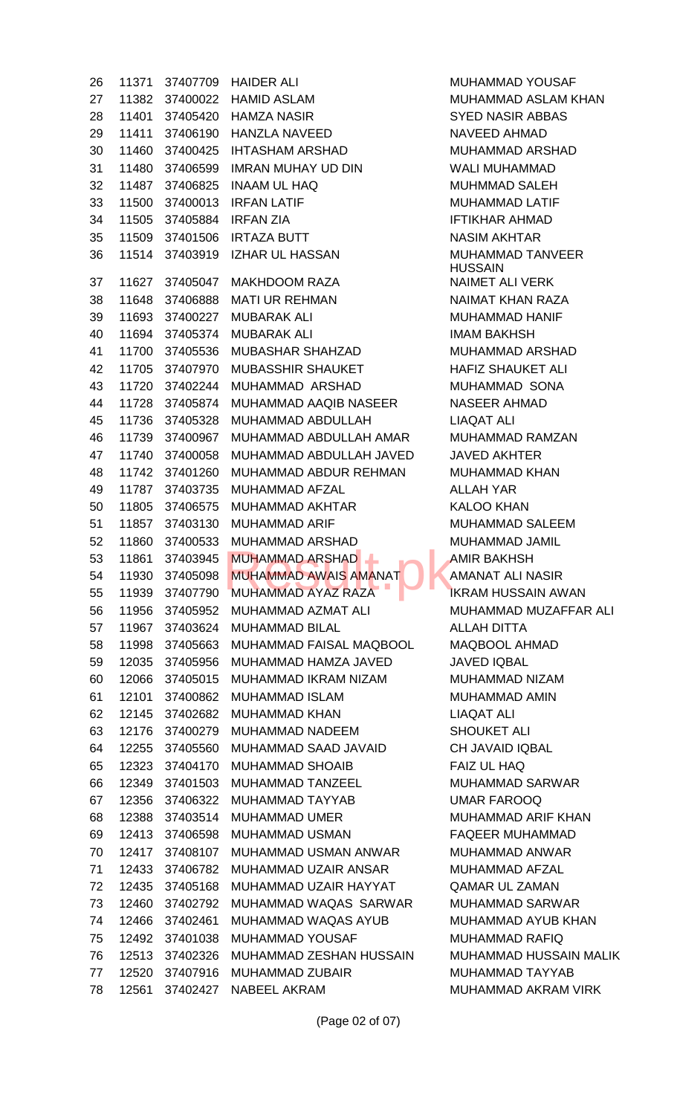11371 37407709 HAIDER ALI MUHAMMAD YOUSAF 11382 37400022 HAMID ASLAM MUHAMMAD ASLAM KHAN 11401 37405420 HAMZA NASIR SYED NASIR ABBAS 11411 37406190 HANZLA NAVEED NAVEED AHMAD 11460 37400425 IHTASHAM ARSHAD MUHAMMAD ARSHAD 11480 37406599 IMRAN MUHAY UD DIN WALI MUHAMMAD 11487 37406825 INAAM UL HAQ MUHMMAD SALEH 11500 37400013 IRFAN LATIF MUHAMMAD LATIF 11505 37405884 IRFAN ZIA IFTIKHAR AHMAD 11509 37401506 IRTAZA BUTT NASIM AKHTAR 11514 37403919 IZHAR UL HASSAN MUHAMMAD TANVEER 37 11627 37405047 MAKHDOOM RAZA NAIMET ALI VERK 11648 37406888 MATI UR REHMAN NAIMAT KHAN RAZA 11693 37400227 MUBARAK ALI MUHAMMAD HANIF 11694 37405374 MUBARAK ALI IMAM BAKHSH 11700 37405536 MUBASHAR SHAHZAD MUHAMMAD ARSHAD 42 11705 37407970 MUBASSHIR SHAUKET HAFIZ SHAUKET ALI 11720 37402244 MUHAMMAD ARSHAD MUHAMMAD SONA 11728 37405874 MUHAMMAD AAQIB NASEER NASEER AHMAD 11736 37405328 MUHAMMAD ABDULLAH LIAQAT ALI 11739 37400967 MUHAMMAD ABDULLAH AMAR MUHAMMAD RAMZAN 11740 37400058 MUHAMMAD ABDULLAH JAVED JAVED AKHTER 11742 37401260 MUHAMMAD ABDUR REHMAN MUHAMMAD KHAN 49 11787 37403735 MUHAMMAD AFZAL ALLAH YAR 11805 37406575 MUHAMMAD AKHTAR KALOO KHAN 51 11857 37403130 MUHAMMAD ARIF MUHAMMAD SALEEM 11860 37400533 MUHAMMAD ARSHAD MUHAMMAD JAMIL 11861 37403945 MUHAMMAD ARSHAD AMIR BAKHSH 11930 37405098 MUHAMMAD AWAIS AMANAT AMANAT ALI NASIR 55 11939 37407790 MUHAMMAD AYAZ RAZA IKRAM HUSSAIN AWAN 11956 37405952 MUHAMMAD AZMAT ALI MUHAMMAD MUZAFFAR ALI 11967 37403624 MUHAMMAD BILAL ALLAH DITTA 11998 37405663 MUHAMMAD FAISAL MAQBOOL MAQBOOL AHMAD 12035 37405956 MUHAMMAD HAMZA JAVED JAVED IQBAL 12066 37405015 MUHAMMAD IKRAM NIZAM MUHAMMAD NIZAM 12101 37400862 MUHAMMAD ISLAM MUHAMMAD AMIN 12145 37402682 MUHAMMAD KHAN LIAQAT ALI 12176 37400279 MUHAMMAD NADEEM SHOUKET ALI 12255 37405560 MUHAMMAD SAAD JAVAID CH JAVAID IQBAL 12323 37404170 MUHAMMAD SHOAIB FAIZ UL HAQ 12349 37401503 MUHAMMAD TANZEEL MUHAMMAD SARWAR 12356 37406322 MUHAMMAD TAYYAB UMAR FAROOQ 68 12388 37403514 MUHAMMAD UMER MUHAMMAD ARIF KHAN 12413 37406598 MUHAMMAD USMAN FAQEER MUHAMMAD 70 12417 37408107 MUHAMMAD USMAN ANWAR MUHAMMAD ANWAR 12433 37406782 MUHAMMAD UZAIR ANSAR MUHAMMAD AFZAL 12435 37405168 MUHAMMAD UZAIR HAYYAT QAMAR UL ZAMAN 12460 37402792 MUHAMMAD WAQAS SARWAR MUHAMMAD SARWAR 12466 37402461 MUHAMMAD WAQAS AYUB MUHAMMAD AYUB KHAN 12492 37401038 MUHAMMAD YOUSAF MUHAMMAD RAFIQ 12513 37402326 MUHAMMAD ZESHAN HUSSAIN MUHAMMAD HUSSAIN MALIK 12520 37407916 MUHAMMAD ZUBAIR MUHAMMAD TAYYAB 12561 37402427 NABEEL AKRAM MUHAMMAD AKRAM VIRK MUHAMMAD ARSHAD<br>MUHAMMAD AWAIS AMANAT

HUSSAIN

(Page 02 of 07)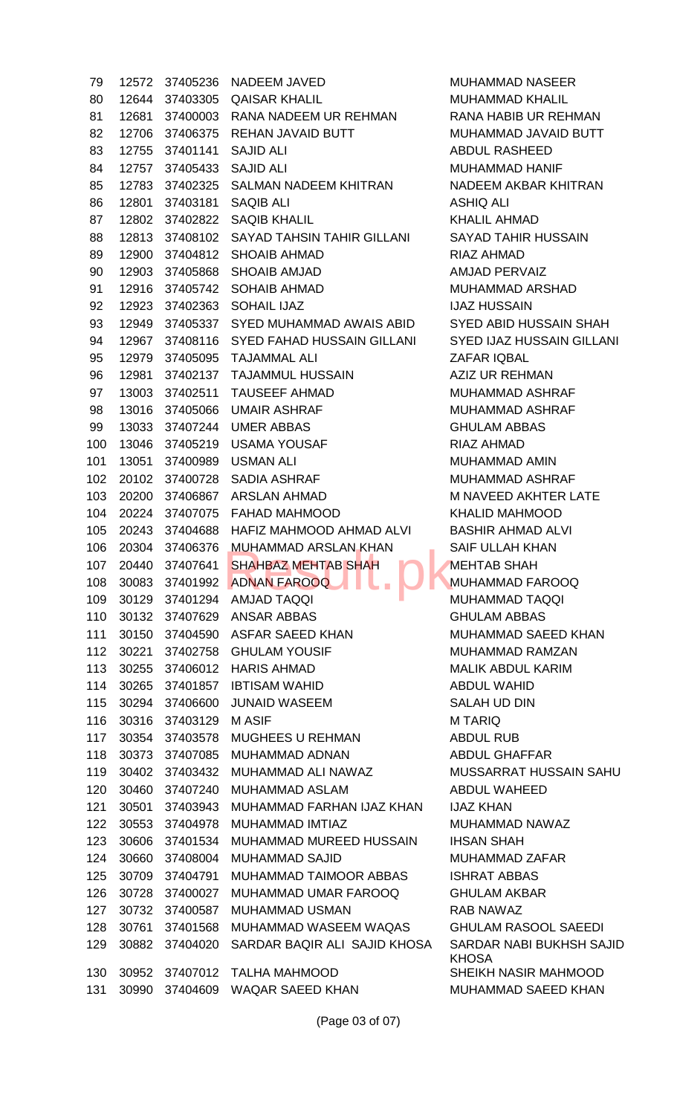12572 37405236 NADEEM JAVED MUHAMMAD NASEER 12644 37403305 QAISAR KHALIL MUHAMMAD KHALIL 81 12681 37400003 RANA NADEEM UR REHMAN RANA HABIB UR REHMAN 12706 37406375 REHAN JAVAID BUTT MUHAMMAD JAVAID BUTT 12755 37401141 SAJID ALI ABDUL RASHEED 12757 37405433 SAJID ALI MUHAMMAD HANIF 85 12783 37402325 SALMAN NADEEM KHITRAN NADEEM AKBAR KHITRAN 12801 37403181 SAQIB ALI ASHIQ ALI 12802 37402822 SAQIB KHALIL KHALIL AHMAD 12813 37408102 SAYAD TAHSIN TAHIR GILLANI SAYAD TAHIR HUSSAIN 12900 37404812 SHOAIB AHMAD RIAZ AHMAD 12903 37405868 SHOAIB AMJAD AMJAD PERVAIZ 91 12916 37405742 SOHAIB AHMAD SHARI MUHAMMAD ARSHAD 12923 37402363 SOHAIL IJAZ IJAZ HUSSAIN 12949 37405337 SYED MUHAMMAD AWAIS ABID SYED ABID HUSSAIN SHAH 12967 37408116 SYED FAHAD HUSSAIN GILLANI SYED IJAZ HUSSAIN GILLANI 12979 37405095 TAJAMMAL ALI ZAFAR IQBAL 12981 37402137 TAJAMMUL HUSSAIN AZIZ UR REHMAN 97 13003 37402511 TAUSEEF AHMAD MUHAMMAD ASHRAF 13016 37405066 UMAIR ASHRAF MUHAMMAD ASHRAF 13033 37407244 UMER ABBAS GHULAM ABBAS 13046 37405219 USAMA YOUSAF RIAZ AHMAD 13051 37400989 USMAN ALI MUHAMMAD AMIN 20102 37400728 SADIA ASHRAF MUHAMMAD ASHRAF 20200 37406867 ARSLAN AHMAD M NAVEED AKHTER LATE 20224 37407075 FAHAD MAHMOOD KHALID MAHMOOD 20243 37404688 HAFIZ MAHMOOD AHMAD ALVI BASHIR AHMAD ALVI 106 20304 37406376 MUHAMMAD ARSLAN KHAN SAIF ULLAH KHAN 107 20440 37407641 SHAHBAZ MEHTAB SHAH MEHTAB SHAH 30083 37401992 ADNAN FAROOQ MUHAMMAD FAROOQ 30129 37401294 AMJAD TAQQI MUHAMMAD TAQQI 30132 37407629 ANSAR ABBAS GHULAM ABBAS 111 30150 37404590 ASFAR SAEED KHAN MUHAMMAD SAEED KHAN 112 30221 37402758 GHULAM YOUSIF MUHAMMAD RAMZAN 30255 37406012 HARIS AHMAD MALIK ABDUL KARIM 114 30265 37401857 IBTISAM WAHID ABDUL WAHID 30294 37406600 JUNAID WASEEM SALAH UD DIN 116 30316 37403129 MASIF **Material Strutter Material Article** 117 30354 37403578 MUGHEES U REHMAN ABDUL RUB 30373 37407085 MUHAMMAD ADNAN ABDUL GHAFFAR 30402 37403432 MUHAMMAD ALI NAWAZ MUSSARRAT HUSSAIN SAHU 30460 37407240 MUHAMMAD ASLAM ABDUL WAHEED 30501 37403943 MUHAMMAD FARHAN IJAZ KHAN IJAZ KHAN 122 30553 37404978 MUHAMMAD IMTIAZ MUHAMMAD NAWAZ 30606 37401534 MUHAMMAD MUREED HUSSAIN IHSAN SHAH 30660 37408004 MUHAMMAD SAJID MUHAMMAD ZAFAR 125 30709 37404791 MUHAMMAD TAIMOOR ABBAS ISHRAT ABBAS 30728 37400027 MUHAMMAD UMAR FAROOQ GHULAM AKBAR 30732 37400587 MUHAMMAD USMAN RAB NAWAZ 30761 37401568 MUHAMMAD WASEEM WAQAS GHULAM RASOOL SAEEDI 30882 37404020 SARDAR BAQIR ALI SAJID KHOSA SARDAR NABI BUKHSH SAJID 30952 37407012 TALHA MAHMOOD SHEIKH NASIR MAHMOOD 131 30990 37404609 WAQAR SAEED KHAN MUHAMMAD SAEED KHAN MUHAMMAD ARSLAN KHAN

**KHOSA** 

(Page 03 of 07)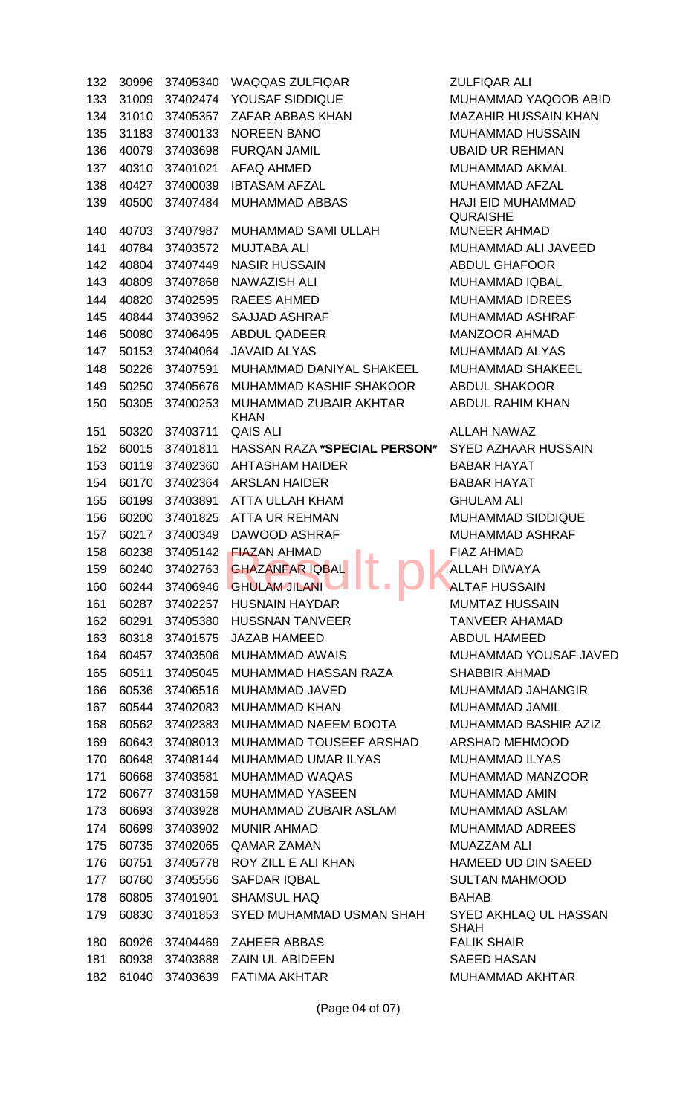132 30996 37405340 WAQQAS ZULFIQAR ZULFIQAR ALI 133 31009 37402474 YOUSAF SIDDIQUE MUHAMMAD YAQOOB ABID 134 31010 37405357 ZAFAR ABBAS KHAN MAZAHIR HUSSAIN KHAN 135 31183 37400133 NOREEN BANO MUHAMMAD HUSSAIN 136 40079 37403698 FURQAN JAMIL UNIT UBAID UR REHMAN 137 40310 37401021 AFAQ AHMED MUHAMMAD AKMAL 138 40427 37400039 IBTASAM AFZAL MUHAMMAD AFZAL 139 40500 37407484 MUHAMMAD ABBAS HAJI EID MUHAMMAD 140 40703 37407987 MUHAMMAD SAMI ULLAH MUNEER AHMAD 141 40784 37403572 MUJTABA ALI MUHAMMAD ALI JAVEED 142 40804 37407449 NASIR HUSSAIN ABDUL GHAFOOR 143 40809 37407868 NAWAZISH ALI MUHAMMAD IQBAL 144 40820 37402595 RAEES AHMED MUHAMMAD IDREES 145 40844 37403962 SAJJAD ASHRAF MUHAMMAD ASHRAF 146 50080 37406495 ABDUL QADEER MANZOOR AHMAD 147 50153 37404064 JAVAID ALYAS MUHAMMAD ALYAS 148 50226 37407591 MUHAMMAD DANIYAL SHAKEEL MUHAMMAD SHAKEEL 149 50250 37405676 MUHAMMAD KASHIF SHAKOOR ABDUL SHAKOOR 150 50305 37400253 MUHAMMAD ZUBAIR AKHTAR KHAN 151 50320 37403711 QAIS ALI 60 ALLAH NAWAZ 152 60015 37401811 HASSAN RAZA **\*SPECIAL PERSON\*** SYED AZHAAR HUSSAIN 153 60119 37402360 AHTASHAM HAIDER BABAR HAYAT 154 60170 37402364 ARSLAN HAIDER BABAR HAYAT 155 60199 37403891 ATTA ULLAH KHAM GHULAM ALI 156 60200 37401825 ATTA UR REHMAN MUHAMMAD SIDDIQUE 157 60217 37400349 DAWOOD ASHRAF MUHAMMAD ASHRAF 158 60238 37405142 **FIAZAN AHMAD FIAZ AHMAD FIAZ AHMAD** 159 60240 37402763 GHAZANFAR IQBAL ALLAH DIWAYA 160 60244 37406946 GHULAM JILANI **ALTAF ALTAF HUSSAIN** 161 60287 37402257 HUSNAIN HAYDAR MUMTAZ HUSSAIN 162 60291 37405380 HUSSNAN TANVEER TANVEER AHAMAD 163 60318 37401575 JAZAB HAMEED ABDUL HAMEED 164 60457 37403506 MUHAMMAD AWAIS MUHAMMAD YOUSAF JAVED 165 60511 37405045 MUHAMMAD HASSAN RAZA SHABBIR AHMAD 166 60536 37406516 MUHAMMAD JAVED MUHAMMAD JAHANGIR 167 60544 37402083 MUHAMMAD KHAN MUHAMMAD JAMIL 168 60562 37402383 MUHAMMAD NAEEM BOOTA MUHAMMAD BASHIR AZIZ 169 60643 37408013 MUHAMMAD TOUSEEF ARSHAD ARSHAD MEHMOOD 170 60648 37408144 MUHAMMAD UMAR ILYAS MUHAMMAD ILYAS 171 60668 37403581 MUHAMMAD WAQAS MUHAMMAD MANZOOR 172 60677 37403159 MUHAMMAD YASEEN MUHAMMAD AMIN 173 60693 37403928 MUHAMMAD ZUBAIR ASLAM MUHAMMAD ASLAM 174 60699 37403902 MUNIR AHMAD MUHAMMAD ADREES 175 60735 37402065 QAMAR ZAMAN MUAZZAM ALI 176 60751 37405778 ROY ZILL E ALI KHAN HAMEED UD DIN SAEED 177 60760 37405556 SAFDAR IQBAL SULTAN MAHMOOD 178 60805 37401901 SHAMSUL HAQ BAHAB 179 60830 37401853 SYED MUHAMMAD USMAN SHAH SYED AKHLAQ UL HASSAN 180 60926 37404469 ZAHEER ABBAS FALIK SHAIR 181 60938 37403888 ZAIN UL ABIDEEN SAEED HASAN 182 61040 37403639 FATIMA AKHTAR MUHAMMAD AKHTAR FIAZAN AHMAD<br>GHAZANFAR IQBAL **II DI AMAD AH DI AMAD AH DI AMAD AHMAD AH** 

**QURAISHE** ABDUL RAHIM KHAN

SHAH

(Page 04 of 07)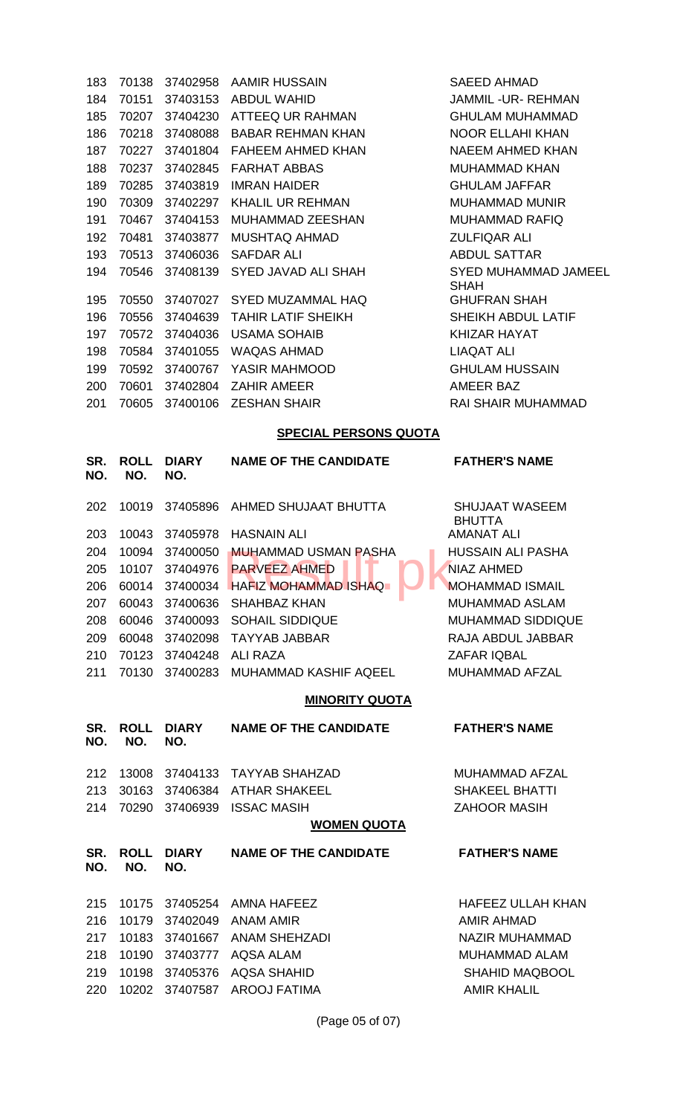| 183        | 70138              | 37402958            | <b>AAMIR HUSSAIN</b>           | SAEED AHMAD                                |  |  |  |  |
|------------|--------------------|---------------------|--------------------------------|--------------------------------------------|--|--|--|--|
| 184        | 70151              | 37403153            | <b>ABDUL WAHID</b>             | <b>JAMMIL-UR-REHMAN</b>                    |  |  |  |  |
| 185        | 70207              | 37404230            | ATTEEQ UR RAHMAN               | <b>GHULAM MUHAMMAD</b>                     |  |  |  |  |
| 186        | 70218              | 37408088            | <b>BABAR REHMAN KHAN</b>       | <b>NOOR ELLAHI KHAN</b>                    |  |  |  |  |
| 187        | 70227              | 37401804            | <b>FAHEEM AHMED KHAN</b>       | <b>NAEEM AHMED KHAN</b>                    |  |  |  |  |
| 188        | 70237              | 37402845            | <b>FARHAT ABBAS</b>            | <b>MUHAMMAD KHAN</b>                       |  |  |  |  |
| 189        | 70285              | 37403819            | <b>IMRAN HAIDER</b>            | <b>GHULAM JAFFAR</b>                       |  |  |  |  |
| 190        | 70309              | 37402297            | KHALIL UR REHMAN               | <b>MUHAMMAD MUNIR</b>                      |  |  |  |  |
| 191        | 70467              | 37404153            | MUHAMMAD ZEESHAN               | <b>MUHAMMAD RAFIQ</b>                      |  |  |  |  |
| 192        | 70481              | 37403877            | <b>MUSHTAQ AHMAD</b>           | <b>ZULFIQAR ALI</b>                        |  |  |  |  |
| 193        | 70513              | 37406036            | <b>SAFDAR ALI</b>              | <b>ABDUL SATTAR</b>                        |  |  |  |  |
| 194        | 70546              | 37408139            | SYED JAVAD ALI SHAH            | <b>SYED MUHAMMAD JAMEEL</b><br><b>SHAH</b> |  |  |  |  |
| 195        | 70550              | 37407027            | <b>SYED MUZAMMAL HAQ</b>       | <b>GHUFRAN SHAH</b>                        |  |  |  |  |
| 196        | 70556              | 37404639            | <b>TAHIR LATIF SHEIKH</b>      | SHEIKH ABDUL LATIF                         |  |  |  |  |
| 197        | 70572              | 37404036            | <b>USAMA SOHAIB</b>            | <b>KHIZAR HAYAT</b>                        |  |  |  |  |
| 198        | 70584              | 37401055            | <b>WAQAS AHMAD</b>             | <b>LIAQAT ALI</b>                          |  |  |  |  |
| 199        | 70592              | 37400767            | YASIR MAHMOOD                  | <b>GHULAM HUSSAIN</b>                      |  |  |  |  |
| 200        | 70601              | 37402804            | <b>ZAHIR AMEER</b>             | <b>AMEER BAZ</b>                           |  |  |  |  |
| 201        | 70605              | 37400106            | <b>ZESHAN SHAIR</b>            | <b>RAI SHAIR MUHAMMAD</b>                  |  |  |  |  |
|            |                    |                     | <b>SPECIAL PERSONS QUOTA</b>   |                                            |  |  |  |  |
| SR.        | <b>ROLL</b>        | <b>DIARY</b>        | <b>NAME OF THE CANDIDATE</b>   | <b>FATHER'S NAME</b>                       |  |  |  |  |
| NO.        | NO.                | NO.                 |                                |                                            |  |  |  |  |
| 202        | 10019              | 37405896            | AHMED SHUJAAT BHUTTA           | <b>SHUJAAT WASEEM</b><br><b>BHUTTA</b>     |  |  |  |  |
| 203        | 10043              | 37405978            | <b>HASNAIN ALI</b>             | <b>AMANAT ALI</b>                          |  |  |  |  |
| 204        | 10094              | 37400050            | <b>MUHAMMAD USMAN PASHA</b>    | <b>HUSSAIN ALI PASHA</b>                   |  |  |  |  |
| 205        | 10107              | 37404976            | <b>PARVEEZ AHMED</b>           | <b>NIAZ AHMED</b>                          |  |  |  |  |
| 206        | 60014              | 37400034            | <b>HAFIZ MOHAMMAD ISHAQ</b>    | <b>MOHAMMAD ISMAIL</b>                     |  |  |  |  |
| 207        | 60043              | 37400636            | <b>SHAHBAZ KHAN</b>            | <b>MUHAMMAD ASLAM</b>                      |  |  |  |  |
| 208        | 60046              |                     | 37400093 SOHAIL SIDDIQUE       | <b>MUHAMMAD SIDDIQUE</b>                   |  |  |  |  |
| 209        | 60048              | 37402098            | <b>TAYYAB JABBAR</b>           | RAJA ABDUL JABBAR                          |  |  |  |  |
| 210        | 70123              | 37404248            | ALI RAZA                       | <b>ZAFAR IQBAL</b>                         |  |  |  |  |
| 211        | 70130              |                     | 37400283 MUHAMMAD KASHIF AQEEL | <b>MUHAMMAD AFZAL</b>                      |  |  |  |  |
|            |                    |                     | <b>MINORITY QUOTA</b>          |                                            |  |  |  |  |
|            |                    |                     |                                |                                            |  |  |  |  |
| SR.<br>NO. | <b>ROLL</b><br>NO. | <b>DIARY</b><br>NO. | <b>NAME OF THE CANDIDATE</b>   | <b>FATHER'S NAME</b>                       |  |  |  |  |
| 212        | 13008              |                     | 37404133 TAYYAB SHAHZAD        | MUHAMMAD AFZAL                             |  |  |  |  |
| 213        | 30163              | 37406384            | <b>ATHAR SHAKEEL</b>           | <b>SHAKEEL BHATTI</b>                      |  |  |  |  |
| 214        | 70290              | 37406939            | <b>ISSAC MASIH</b>             | <b>ZAHOOR MASIH</b>                        |  |  |  |  |
|            | <b>WOMEN QUOTA</b> |                     |                                |                                            |  |  |  |  |
| SR.<br>NO. | <b>ROLL</b><br>NO. | <b>DIARY</b><br>NO. | <b>NAME OF THE CANDIDATE</b>   | <b>FATHER'S NAME</b>                       |  |  |  |  |
|            |                    |                     |                                |                                            |  |  |  |  |
| 215        | 10175              | 37405254            | AMNA HAFEEZ                    | <b>HAFEEZ ULLAH KHAN</b>                   |  |  |  |  |
| 216        | 10179              | 37402049            | ANAM AMIR                      | AMIR AHMAD                                 |  |  |  |  |
| 217        | 10183              | 37401667            | <b>ANAM SHEHZADI</b>           | NAZIR MUHAMMAD                             |  |  |  |  |
| 218        | 10190              | 37403777            | <b>AQSA ALAM</b>               | <b>MUHAMMAD ALAM</b>                       |  |  |  |  |
| 219        | 10198              | 37405376            | AQSA SHAHID                    | <b>SHAHID MAQBOOL</b>                      |  |  |  |  |
| 220        | 10202              | 37407587            | <b>AROOJ FATIMA</b>            | <b>AMIR KHALIL</b>                         |  |  |  |  |
|            |                    |                     |                                |                                            |  |  |  |  |

(Page 05 of 07)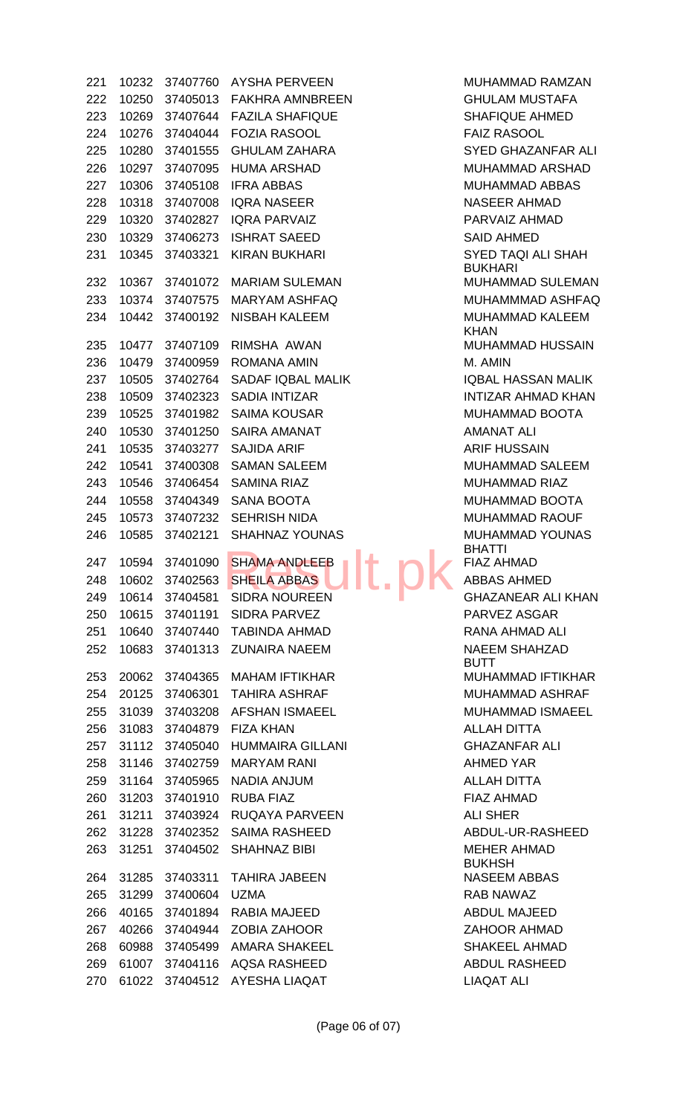10232 37407760 AYSHA PERVEEN MUHAMMAD RAMZAN 10250 37405013 FAKHRA AMNBREEN GHULAM MUSTAFA 10269 37407644 FAZILA SHAFIQUE SHAFIQUE AHMED 10276 37404044 FOZIA RASOOL FAIZ RASOOL 225 10280 37401555 GHULAM ZAHARA SYED GHAZANFAR ALI 10297 37407095 HUMA ARSHAD MUHAMMAD ARSHAD 10306 37405108 IFRA ABBAS MUHAMMAD ABBAS 10318 37407008 IQRA NASEER NASEER AHMAD 10320 37402827 IQRA PARVAIZ PARVAIZ AHMAD 10329 37406273 ISHRAT SAEED SAID AHMED 231 10345 37403321 KIRAN BUKHARI SYED TAQI ALI SHAH 232 10367 37401072 MARIAM SULEMAN MUHAMMAD SULEMAN 10374 37407575 MARYAM ASHFAQ MUHAMMMAD ASHFAQ 10442 37400192 NISBAH KALEEM MUHAMMAD KALEEM 235 10477 37407109 RIMSHA AWAN MUHAMMAD HUSSAIN 236 10479 37400959 ROMANA AMIN **M. AMIN** M. AMIN 237 10505 37402764 SADAF IQBAL MALIK IQBAL IQBAL HASSAN MALIK 10509 37402323 SADIA INTIZAR INTIZAR AHMAD KHAN 239 10525 37401982 SAIMA KOUSAR MUHAMMAD BOOTA 10530 37401250 SAIRA AMANAT AMANAT ALI 241 10535 37403277 SAJIDA ARIF **ARIF ARIF ARIF HUSSAIN**  10541 37400308 SAMAN SALEEM MUHAMMAD SALEEM 10546 37406454 SAMINA RIAZ MUHAMMAD RIAZ 10558 37404349 SANA BOOTA MUHAMMAD BOOTA 10573 37407232 SEHRISH NIDA MUHAMMAD RAOUF 10585 37402121 SHAHNAZ YOUNAS MUHAMMAD YOUNAS 10594 37401090 SHAMA ANDLEEB FIAZ AHMAD 10602 37402563 SHEILA ABBAS ABBAS AHMED 10614 37404581 SIDRA NOUREEN GHAZANEAR ALI KHAN 10615 37401191 SIDRA PARVEZ PARVEZ ASGAR 10640 37407440 TABINDA AHMAD RANA AHMAD ALI 10683 37401313 ZUNAIRA NAEEM NAEEM SHAHZAD 253 20062 37404365 MAHAM IFTIKHAR MUHAMMAD IFTIKHAR 254 20125 37406301 TAHIRA ASHRAF MUHAMMAD ASHRAF 255 31039 37403208 AFSHAN ISMAEEL MUHAMMAD ISMAEEL 31083 37404879 FIZA KHAN ALLAH DITTA 31112 37405040 HUMMAIRA GILLANI GHAZANFAR ALI 258 31146 37402759 MARYAM RANI AHMED YAR 31164 37405965 NADIA ANJUM ALLAH DITTA 31203 37401910 RUBA FIAZ FIAZ AHMAD 31211 37403924 RUQAYA PARVEEN ALI SHER 262 31228 37402352 SAIMA RASHEED ABDUL-UR-RASHEED 31251 37404502 SHAHNAZ BIBI MEHER AHMAD 31285 37403311 TAHIRA JABEEN NASEEM ABBAS 265 31299 37400604 UZMA RAB NAWAZ 40165 37401894 RABIA MAJEED ABDUL MAJEED 40266 37404944 ZOBIA ZAHOOR ZAHOOR AHMAD 268 60988 37405499 AMARA SHAKEEL SHAKEEL SHAKEEL AHMAD 269 61007 37404116 AQSA RASHEED ABDUL RASHEED SHAMA ANDLEEB<br>SHEILA ABBAS<br>SIDRA NOURFEN

BUKHARI KHAN BHATTI BUTT BUKHSH 270 61022 37404512 AYESHA LIAQAT LIAQAT ALI